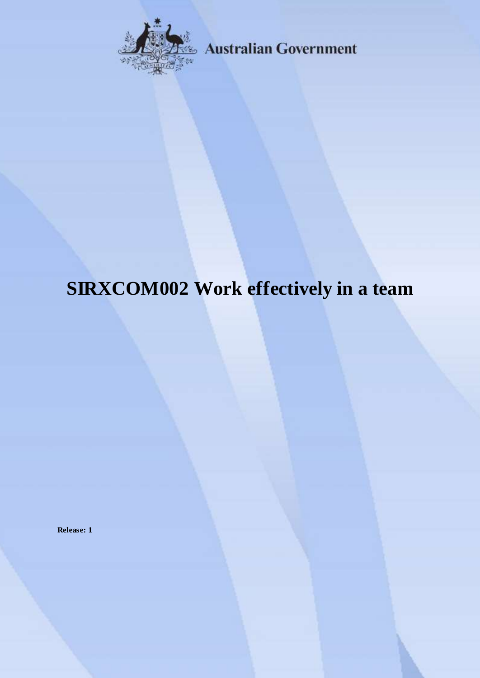

**Australian Government** 

# **SIRXCOM002 Work effectively in a team**

**Release: 1**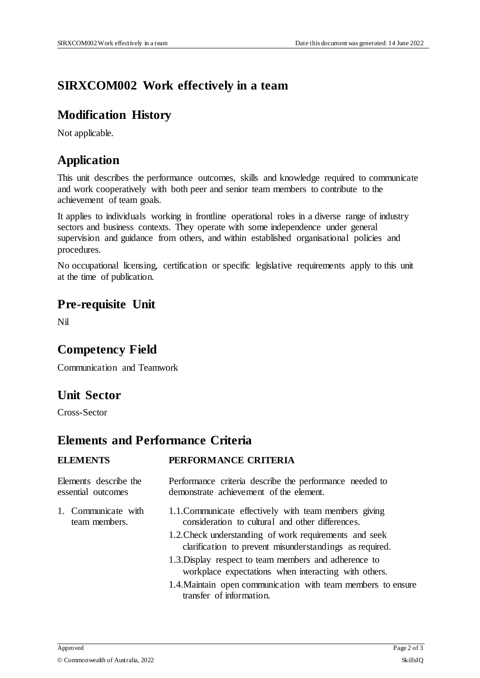# **SIRXCOM002 Work effectively in a team**

#### **Modification History**

Not applicable.

## **Application**

This unit describes the performance outcomes, skills and knowledge required to communicate and work cooperatively with both peer and senior team members to contribute to the achievement of team goals.

It applies to individuals working in frontline operational roles in a diverse range of industry sectors and business contexts. They operate with some independence under general supervision and guidance from others, and within established organisational policies and procedures.

No occupational licensing, certification or specific legislative requirements apply to this unit at the time of publication.

#### **Pre-requisite Unit**

Nil

### **Competency Field**

Communication and Teamwork

### **Unit Sector**

Cross-Sector

### **Elements and Performance Criteria**

| <b>ELEMENTS</b>                             | PERFORMANCE CRITERIA                                                                                              |
|---------------------------------------------|-------------------------------------------------------------------------------------------------------------------|
| Elements describe the<br>essential outcomes | Performance criteria describe the performance needed to<br>demonstrate achievement of the element.                |
| 1. Communicate with<br>team members.        | 1.1. Communicate effectively with team members giving<br>consideration to cultural and other differences.         |
|                                             | 1.2. Check understanding of work requirements and seek<br>clarification to prevent misunderstandings as required. |
|                                             | 1.3. Display respect to team members and adherence to<br>workplace expectations when interacting with others.     |
|                                             | 1.4. Maintain open communication with team members to ensure<br>transfer of information.                          |
|                                             |                                                                                                                   |